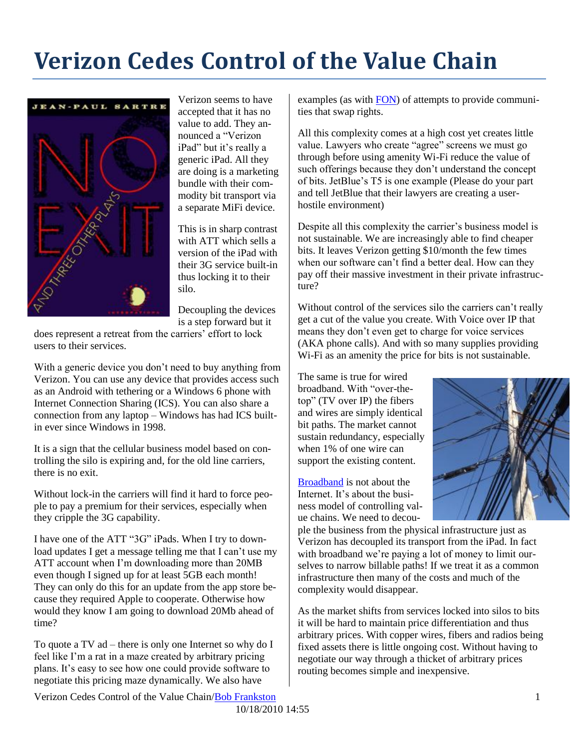## **Verizon Cedes Control of the Value Chain**



Verizon seems to have accepted that it has no value to add. They announced a "Verizon iPad" but it's really a generic iPad. All they are doing is a marketing bundle with their commodity bit transport via a separate MiFi device.

This is in sharp contrast with ATT which sells a version of the iPad with their 3G service built-in thus locking it to their silo.

Decoupling the devices is a step forward but it

does represent a retreat from the carriers' effort to lock users to their services.

With a generic device you don't need to buy anything from Verizon. You can use any device that provides access such as an Android with tethering or a Windows 6 phone with Internet Connection Sharing (ICS). You can also share a connection from any laptop – Windows has had ICS builtin ever since Windows in 1998.

It is a sign that the cellular business model based on controlling the silo is expiring and, for the old line carriers, there is no exit.

Without lock-in the carriers will find it hard to force people to pay a premium for their services, especially when they cripple the 3G capability.

I have one of the ATT "3G" iPads. When I try to download updates I get a message telling me that I can't use my ATT account when I'm downloading more than 20MB even though I signed up for at least 5GB each month! They can only do this for an update from the app store because they required Apple to cooperate. Otherwise how would they know I am going to download 20Mb ahead of time?

To quote a TV ad – there is only one Internet so why do I feel like I'm a rat in a maze created by arbitrary pricing plans. It's easy to see how one could provide software to negotiate this pricing maze dynamically. We also have

examples (as with [FON\)](http://www.fon.org/) of attempts to provide communities that swap rights.

All this complexity comes at a high cost yet creates little value. Lawyers who create "agree" screens we must go through before using amenity Wi-Fi reduce the value of such offerings because they don't understand the concept of bits. JetBlue's T5 is one example (Please do your part and tell JetBlue that their lawyers are creating a userhostile environment)

Despite all this complexity the carrier's business model is not sustainable. We are increasingly able to find cheaper bits. It leaves Verizon getting \$10/month the few times when our software can't find a better deal. How can they pay off their massive investment in their private infrastructure?

Without control of the services silo the carriers can't really get a cut of the value you create. With Voice over IP that means they don't even get to charge for voice services (AKA phone calls). And with so many supplies providing Wi-Fi as an amenity the price for bits is not sustainable.

The same is true for wired broadband. With "over-thetop" (TV over IP) the fibers and wires are simply identical bit paths. The market cannot sustain redundancy, especially when 1% of one wire can support the existing content.

[Broadband](http://rmf.vc/?n=BroadbandInternet) is not about the Internet. It's about the business model of controlling value chains. We need to decou-



ple the business from the physical infrastructure just as Verizon has decoupled its transport from the iPad. In fact with broadband we're paying a lot of money to limit ourselves to narrow billable paths! If we treat it as a common infrastructure then many of the costs and much of the complexity would disappear.

As the market shifts from services locked into silos to bits it will be hard to maintain price differentiation and thus arbitrary prices. With copper wires, fibers and radios being fixed assets there is little ongoing cost. Without having to negotiate our way through a thicket of arbitrary prices routing becomes simple and inexpensive.

Verizon Cedes Control of the Value Chain/Bob Frankston 1